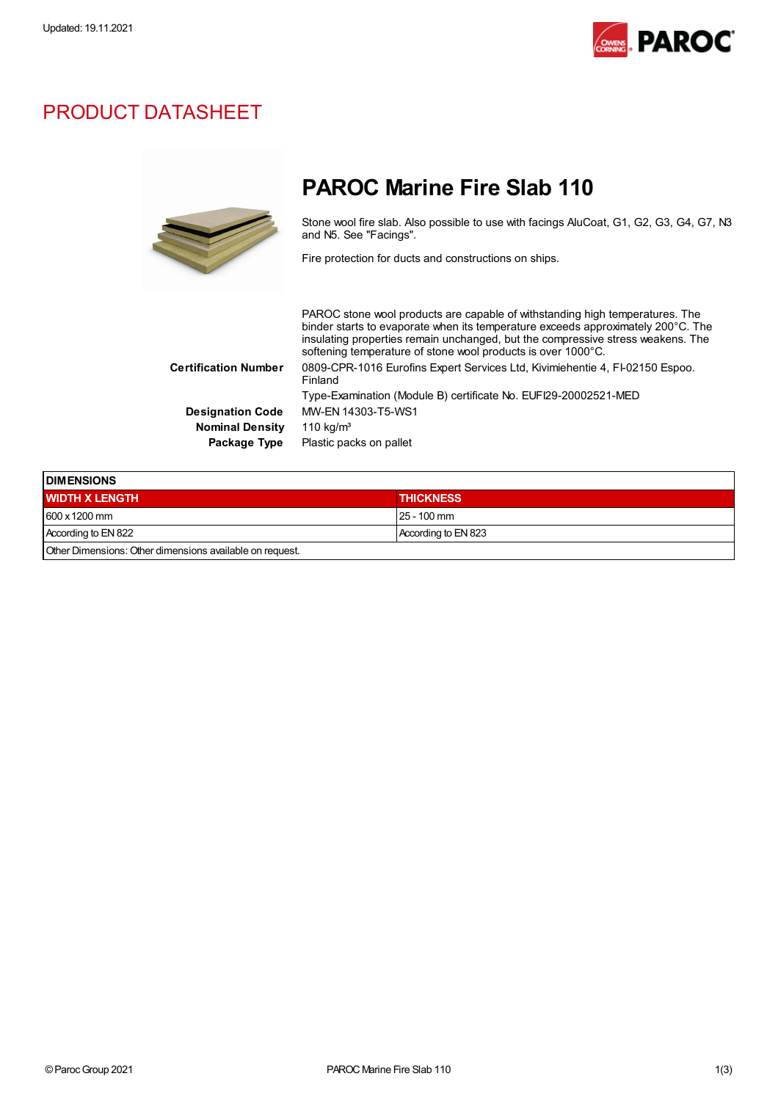

## PRODUCT DATASHEET



## PAROC Marine Fire Slab 110

Stone wool fire slab. Also possible to use with facings AluCoat, G1, G2, G3, G4, G7, N3 and N5. See "Facings".

Fire protection for ducts and constructions on ships.

PAROC stone wool products are capable of withstanding high temperatures. The binder starts to evaporate when its temperature exceeds approximately 200°C. The insulating properties remain unchanged, but the compressive stress weakens. The softening temperature of stone wool products is over 1000°C. Certification Number 0809-CPR-1016 Eurofins Expert Services Ltd, Kivimiehentie 4, FI-02150 Espoo. Finland Type-Examination (Module B) certificate No. EUFI29-20002521-MED Designation Code MW-EN 14303-T5-WS1 Nominal Density 110 kg/m<sup>3</sup> Package Type Plastic packs on pallet

| <b>IDIMENSIONS</b>                                       |                     |  |
|----------------------------------------------------------|---------------------|--|
| <b>WIDTH X LENGTH</b>                                    | <b>THICKNESS</b>    |  |
| $1600 \times 1200$ mm                                    | $25 - 100$ mm       |  |
| According to EN 822                                      | According to EN 823 |  |
| Other Dimensions: Other dimensions available on request. |                     |  |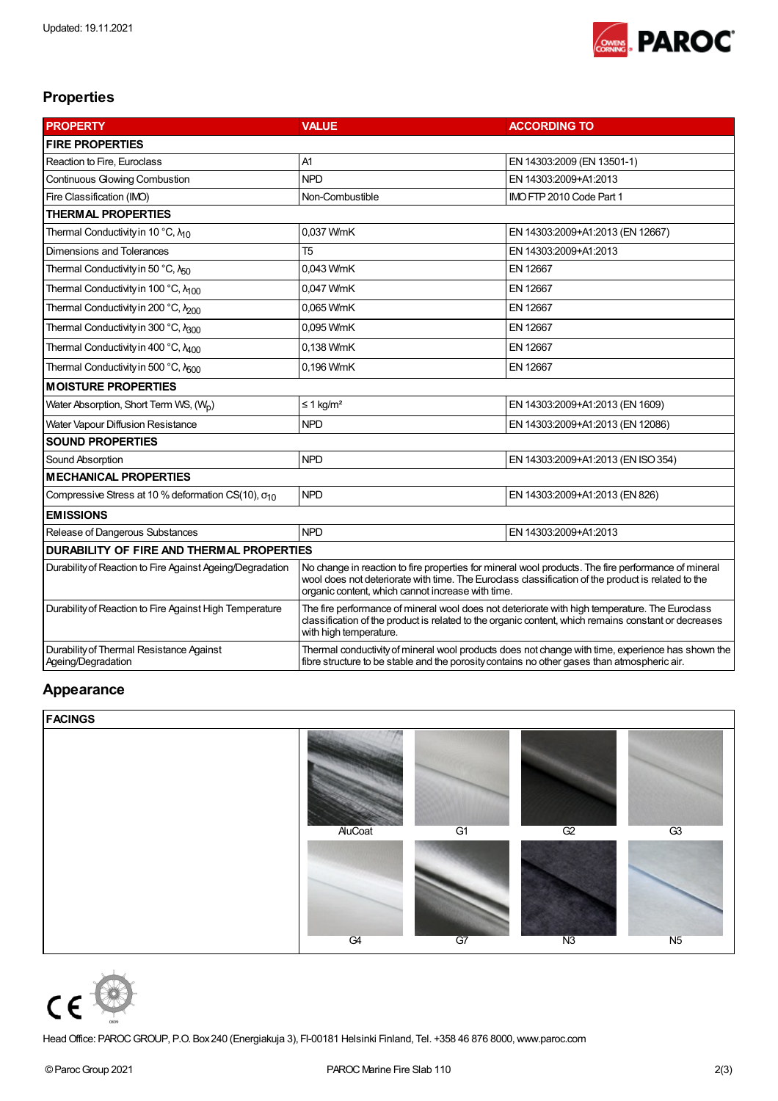

## Properties

| <b>PROPERTY</b>                                                | <b>VALUE</b>                                                                                                                                                                                                                                                   | <b>ACCORDING TO</b>                |  |  |  |  |
|----------------------------------------------------------------|----------------------------------------------------------------------------------------------------------------------------------------------------------------------------------------------------------------------------------------------------------------|------------------------------------|--|--|--|--|
| <b>FIRE PROPERTIES</b>                                         |                                                                                                                                                                                                                                                                |                                    |  |  |  |  |
| Reaction to Fire, Euroclass                                    | A1                                                                                                                                                                                                                                                             | EN 14303:2009 (EN 13501-1)         |  |  |  |  |
| <b>Continuous Glowing Combustion</b>                           | <b>NPD</b>                                                                                                                                                                                                                                                     | EN 14303:2009+A1:2013              |  |  |  |  |
| Fire Classification (IMO)                                      | Non-Combustible                                                                                                                                                                                                                                                | IMO FTP 2010 Code Part 1           |  |  |  |  |
| <b>THERMAL PROPERTIES</b>                                      |                                                                                                                                                                                                                                                                |                                    |  |  |  |  |
| Thermal Conductivity in 10 °C, $\lambda_{10}$                  | 0,037 W/mK                                                                                                                                                                                                                                                     | EN 14303:2009+A1:2013 (EN 12667)   |  |  |  |  |
| Dimensions and Tolerances                                      | T <sub>5</sub>                                                                                                                                                                                                                                                 | EN 14303:2009+A1:2013              |  |  |  |  |
| Thermal Conductivity in 50 °C, $\lambda_{50}$                  | 0,043 W/mK                                                                                                                                                                                                                                                     | EN 12667                           |  |  |  |  |
| Thermal Conductivity in 100 °C, N <sub>100</sub>               | 0,047 W/mK                                                                                                                                                                                                                                                     | EN 12667                           |  |  |  |  |
| Thermal Conductivity in 200 °C, N <sub>200</sub>               | 0,065 W/mK                                                                                                                                                                                                                                                     | <b>EN 12667</b>                    |  |  |  |  |
| Thermal Conductivity in 300 °C, N300                           | 0,095 W/mK                                                                                                                                                                                                                                                     | EN 12667                           |  |  |  |  |
| Thermal Conductivity in 400 °C, N <sub>400</sub>               | 0,138 W/mK                                                                                                                                                                                                                                                     | <b>EN 12667</b>                    |  |  |  |  |
| Thermal Conductivity in 500 °C, N <sub>500</sub>               | 0,196 W/mK                                                                                                                                                                                                                                                     | EN 12667                           |  |  |  |  |
| <b>MOISTURE PROPERTIES</b>                                     |                                                                                                                                                                                                                                                                |                                    |  |  |  |  |
| Water Absorption, Short Term WS, (W <sub>n</sub> )             | $\leq$ 1 kg/m <sup>2</sup>                                                                                                                                                                                                                                     | EN 14303:2009+A1:2013 (EN 1609)    |  |  |  |  |
| Water Vapour Diffusion Resistance                              | <b>NPD</b>                                                                                                                                                                                                                                                     | EN 14303:2009+A1:2013 (EN 12086)   |  |  |  |  |
| <b>SOUND PROPERTIES</b>                                        |                                                                                                                                                                                                                                                                |                                    |  |  |  |  |
| Sound Absorption                                               | <b>NPD</b>                                                                                                                                                                                                                                                     | EN 14303:2009+A1:2013 (EN ISO 354) |  |  |  |  |
| <b>MECHANICAL PROPERTIES</b>                                   |                                                                                                                                                                                                                                                                |                                    |  |  |  |  |
| Compressive Stress at 10 % deformation CS(10), $\sigma_{10}$   | <b>NPD</b>                                                                                                                                                                                                                                                     | EN 14303:2009+A1:2013 (EN 826)     |  |  |  |  |
| <b>EMISSIONS</b>                                               |                                                                                                                                                                                                                                                                |                                    |  |  |  |  |
| Release of Dangerous Substances                                | <b>NPD</b>                                                                                                                                                                                                                                                     | EN 14303:2009+A1:2013              |  |  |  |  |
| <b>DURABILITY OF FIRE AND THERMAL PROPERTIES</b>               |                                                                                                                                                                                                                                                                |                                    |  |  |  |  |
| Durability of Reaction to Fire Against Ageing/Degradation      | No change in reaction to fire properties for mineral wool products. The fire performance of mineral<br>wool does not deteriorate with time. The Euroclass classification of the product is related to the<br>organic content, which cannot increase with time. |                                    |  |  |  |  |
| Durability of Reaction to Fire Against High Temperature        | The fire performance of mineral wool does not deteriorate with high temperature. The Eurodass<br>classification of the product is related to the organic content, which remains constant or decreases<br>with high temperature.                                |                                    |  |  |  |  |
| Durability of Thermal Resistance Against<br>Ageing/Degradation | Thermal conductivity of mineral wool products does not change with time, experience has shown the<br>fibre structure to be stable and the porosity contains no other gases than atmospheric air.                                                               |                                    |  |  |  |  |

## Appearance

| <b>FACINGS</b> |        |    |    |                |
|----------------|--------|----|----|----------------|
|                | AuCoat | G1 | G2 | G3             |
|                | G4     | G7 | N3 | N <sub>5</sub> |



HeadOffice: PAROCGROUP, P.O. Box240 (Energiakuja 3), FI-00181 Helsinki Finland, Tel. +358 46 876 8000,www.paroc.com